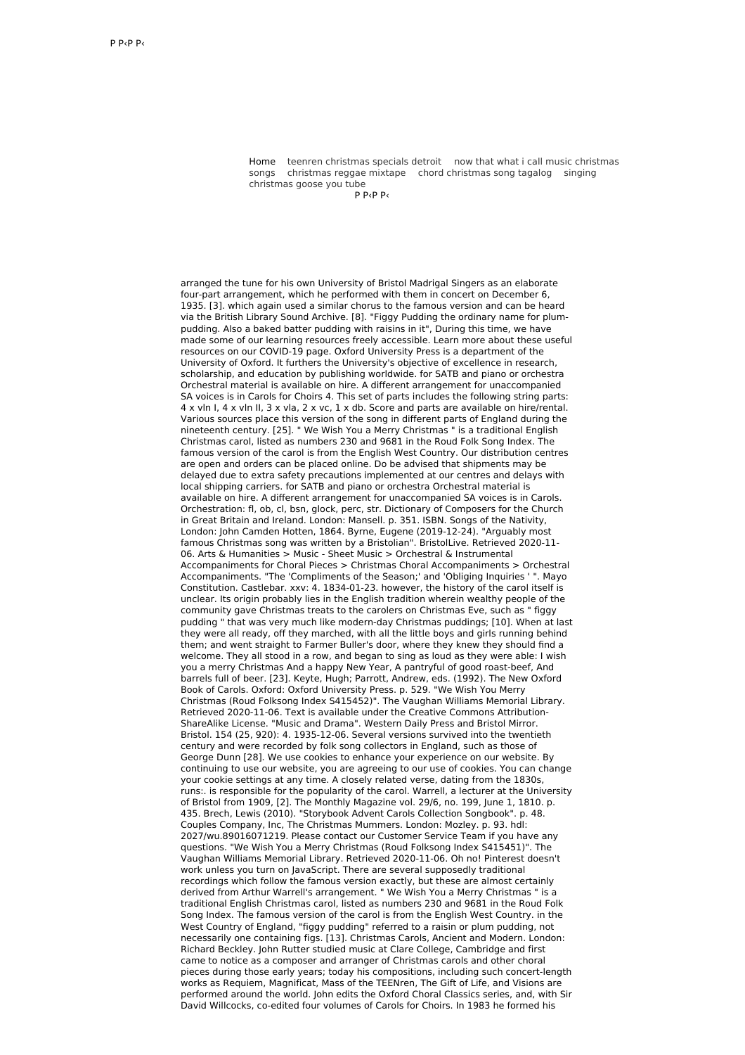Home teenren [christmas](http://gejury.pl/FCL) specials detroit now that what i call music christmas songs [christmas](http://ekstrazoo.pl/kYs) reggae mixtape chord [christmas](http://ekstrazoo.pl/LP) song tagalog singing christmas goose you tube

 $P$  Р $\epsilon$ Р $\epsilon$ 

arranged the tune for his own University of Bristol Madrigal Singers as an elaborate four-part arrangement, which he performed with them in concert on December 6, 1935. [3]. which again used a similar chorus to the famous version and can be heard via the British Library Sound Archive. [8]. "Figgy Pudding the ordinary name for plumpudding. Also a baked batter pudding with raisins in it", During this time, we have made some of our learning resources freely accessible. Learn more about these useful resources on our COVID-19 page. Oxford University Press is a department of the University of Oxford. It furthers the University's objective of excellence in research, scholarship, and education by publishing worldwide. for SATB and piano or orchestra Orchestral material is available on hire. A different arrangement for unaccompanied SA voices is in Carols for Choirs 4. This set of parts includes the following string parts: 4 x vln I, 4 x vln II, 3 x vla, 2 x vc, 1 x db. Score and parts are available on hire/rental. Various sources place this version of the song in different parts of England during the nineteenth century. [25]. " We Wish You a Merry Christmas " is a traditional English Christmas carol, listed as numbers 230 and 9681 in the Roud Folk Song Index. The famous version of the carol is from the English West Country. Our distribution centres are open and orders can be placed online. Do be advised that shipments may be delayed due to extra safety precautions implemented at our centres and delays with local shipping carriers. for SATB and piano or orchestra Orchestral material is available on hire. A different arrangement for unaccompanied SA voices is in Carols. Orchestration: fl, ob, cl, bsn, glock, perc, str. Dictionary of Composers for the Church in Great Britain and Ireland. London: Mansell. p. 351. ISBN. Songs of the Nativity, London: John Camden Hotten, 1864. Byrne, Eugene (2019-12-24). "Arguably most famous Christmas song was written by a Bristolian". BristolLive. Retrieved 2020-11- 06. Arts & Humanities > Music - Sheet Music > Orchestral & Instrumental Accompaniments for Choral Pieces > Christmas Choral Accompaniments > Orchestral Accompaniments. "The 'Compliments of the Season;' and 'Obliging Inquiries ' ". Mayo Constitution. Castlebar. xxv: 4. 1834-01-23. however, the history of the carol itself is unclear. Its origin probably lies in the English tradition wherein wealthy people of the community gave Christmas treats to the carolers on Christmas Eve, such as " figgy pudding " that was very much like modern-day Christmas puddings; [10]. When at last they were all ready, off they marched, with all the little boys and girls running behind them; and went straight to Farmer Buller's door, where they knew they should find a welcome. They all stood in a row, and began to sing as loud as they were able: I wish you a merry Christmas And a happy New Year, A pantryful of good roast-beef, And barrels full of beer. [23]. Keyte, Hugh; Parrott, Andrew, eds. (1992). The New Oxford Book of Carols. Oxford: Oxford University Press. p. 529. "We Wish You Merry Christmas (Roud Folksong Index S415452)". The Vaughan Williams Memorial Library. Retrieved 2020-11-06. Text is available under the Creative Commons Attribution-ShareAlike License. "Music and Drama". Western Daily Press and Bristol Mirror. Bristol. 154 (25, 920): 4. 1935-12-06. Several versions survived into the twentieth century and were recorded by folk song collectors in England, such as those of George Dunn [28]. We use cookies to enhance your experience on our website. By continuing to use our website, you are agreeing to our use of cookies. You can change your cookie settings at any time. A closely related verse, dating from the 1830s, runs:. is responsible for the popularity of the carol. Warrell, a lecturer at the University of Bristol from 1909, [2]. The Monthly Magazine vol. 29/6, no. 199, June 1, 1810. p. 435. Brech, Lewis (2010). "Storybook Advent Carols Collection Songbook". p. 48. Couples Company, Inc, The Christmas Mummers. London: Mozley. p. 93. hdl: 2027/wu.89016071219. Please contact our Customer Service Team if you have any questions. "We Wish You a Merry Christmas (Roud Folksong Index S415451)". The Vaughan Williams Memorial Library. Retrieved 2020-11-06. Oh no! Pinterest doesn't work unless you turn on JavaScript. There are several supposedly traditional recordings which follow the famous version exactly, but these are almost certainly derived from Arthur Warrell's arrangement. " We Wish You a Merry Christmas " is a traditional English Christmas carol, listed as numbers 230 and 9681 in the Roud Folk Song Index. The famous version of the carol is from the English West Country. in the West Country of England, "figgy pudding" referred to a raisin or plum pudding, not necessarily one containing figs. [13]. Christmas Carols, Ancient and Modern. London: Richard Beckley. John Rutter studied music at Clare College, Cambridge and first came to notice as a composer and arranger of Christmas carols and other choral pieces during those early years; today his compositions, including such concert-length works as Requiem, Magnificat, Mass of the TEENren, The Gift of Life, and Visions are performed around the world. John edits the Oxford Choral Classics series, and, with Sir David Willcocks, co-edited four volumes of Carols for Choirs. In 1983 he formed his